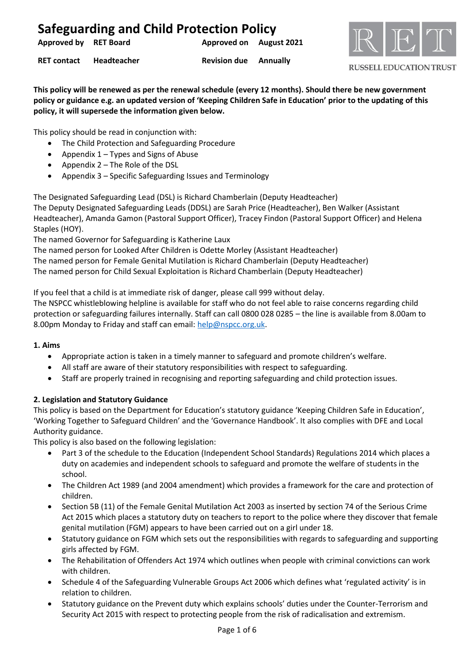| <b>Approved by RET Board</b> |                         | Approved on August 2021      |  |
|------------------------------|-------------------------|------------------------------|--|
|                              | RET contact Headteacher | <b>Revision due</b> Annually |  |



#### **RUSSELL EDUCATION TRUST**

**This policy will be renewed as per the renewal schedule (every 12 months). Should there be new government policy or guidance e.g. an updated version of 'Keeping Children Safe in Education' prior to the updating of this policy, it will supersede the information given below.**

This policy should be read in conjunction with:

- The Child Protection and Safeguarding Procedure
- Appendix 1 Types and Signs of Abuse
- Appendix 2 The Role of the DSL
- Appendix 3 Specific Safeguarding Issues and Terminology

The Designated Safeguarding Lead (DSL) is Richard Chamberlain (Deputy Headteacher)

The Deputy Designated Safeguarding Leads (DDSL) are Sarah Price (Headteacher), Ben Walker (Assistant Headteacher), Amanda Gamon (Pastoral Support Officer), Tracey Findon (Pastoral Support Officer) and Helena Staples (HOY).

The named Governor for Safeguarding is Katherine Laux

The named person for Looked After Children is Odette Morley (Assistant Headteacher)

The named person for Female Genital Mutilation is Richard Chamberlain (Deputy Headteacher)

The named person for Child Sexual Exploitation is Richard Chamberlain (Deputy Headteacher)

If you feel that a child is at immediate risk of danger, please call 999 without delay.

The NSPCC whistleblowing helpline is available for staff who do not feel able to raise concerns regarding child protection or safeguarding failures internally. Staff can call 0800 028 0285 – the line is available from 8.00am to 8.00pm Monday to Friday and staff can email[: help@nspcc.org.uk.](mailto:help@nspcc.org.uk)

### **1. Aims**

- Appropriate action is taken in a timely manner to safeguard and promote children's welfare.
- All staff are aware of their statutory responsibilities with respect to safeguarding.
- Staff are properly trained in recognising and reporting safeguarding and child protection issues.

### **2. Legislation and Statutory Guidance**

This policy is based on the Department for Education's statutory guidance 'Keeping Children Safe in Education', 'Working Together to Safeguard Children' and the 'Governance Handbook'. It also complies with DFE and Local Authority guidance.

This policy is also based on the following legislation:

- Part 3 of the schedule to the Education (Independent School Standards) Regulations 2014 which places a duty on academies and independent schools to safeguard and promote the welfare of students in the school.
- The Children Act 1989 (and 2004 amendment) which provides a framework for the care and protection of children.
- Section 5B (11) of the Female Genital Mutilation Act 2003 as inserted by section 74 of the Serious Crime Act 2015 which places a statutory duty on teachers to report to the police where they discover that female genital mutilation (FGM) appears to have been carried out on a girl under 18.
- Statutory guidance on FGM which sets out the responsibilities with regards to safeguarding and supporting girls affected by FGM.
- The Rehabilitation of Offenders Act 1974 which outlines when people with criminal convictions can work with children.
- Schedule 4 of the Safeguarding Vulnerable Groups Act 2006 which defines what 'regulated activity' is in relation to children.
- Statutory guidance on the Prevent duty which explains schools' duties under the Counter-Terrorism and Security Act 2015 with respect to protecting people from the risk of radicalisation and extremism.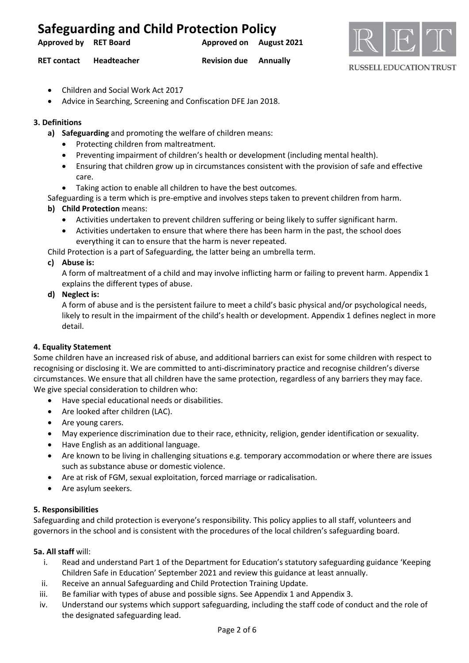**Approved by RET Board Approved on August 2021**



#### **RUSSELL EDUCATION TRUST**

**RET contact Headteacher Revision due Annually**

- Children and Social Work Act 2017
- Advice in Searching, Screening and Confiscation DFE Jan 2018.

### **3. Definitions**

- **a) Safeguarding** and promoting the welfare of children means:
	- Protecting children from maltreatment.
	- Preventing impairment of children's health or development (including mental health).
	- Ensuring that children grow up in circumstances consistent with the provision of safe and effective care.
	- Taking action to enable all children to have the best outcomes.

Safeguarding is a term which is pre-emptive and involves steps taken to prevent children from harm.

- **b) Child Protection** means:
	- Activities undertaken to prevent children suffering or being likely to suffer significant harm.
	- Activities undertaken to ensure that where there has been harm in the past, the school does everything it can to ensure that the harm is never repeated.

Child Protection is a part of Safeguarding, the latter being an umbrella term.

### **c) Abuse is:**

A form of maltreatment of a child and may involve inflicting harm or failing to prevent harm. Appendix 1 explains the different types of abuse.

### **d) Neglect is:**

A form of abuse and is the persistent failure to meet a child's basic physical and/or psychological needs, likely to result in the impairment of the child's health or development. Appendix 1 defines neglect in more detail.

### **4. Equality Statement**

Some children have an increased risk of abuse, and additional barriers can exist for some children with respect to recognising or disclosing it. We are committed to anti-discriminatory practice and recognise children's diverse circumstances. We ensure that all children have the same protection, regardless of any barriers they may face. We give special consideration to children who:

- Have special educational needs or disabilities.
- Are looked after children (LAC).
- Are young carers.
- May experience discrimination due to their race, ethnicity, religion, gender identification or sexuality.
- Have English as an additional language.
- Are known to be living in challenging situations e.g. temporary accommodation or where there are issues such as substance abuse or domestic violence.
- Are at risk of FGM, sexual exploitation, forced marriage or radicalisation.
- Are asylum seekers.

### **5. Responsibilities**

Safeguarding and child protection is everyone's responsibility. This policy applies to all staff, volunteers and governors in the school and is consistent with the procedures of the local children's safeguarding board.

### **5a. All staff** will:

- i. Read and understand Part 1 of the Department for Education's statutory safeguarding guidance 'Keeping Children Safe in Education' September 2021 and review this guidance at least annually.
- ii. Receive an annual Safeguarding and Child Protection Training Update.
- iii. Be familiar with types of abuse and possible signs. See Appendix 1 and Appendix 3.
- iv. Understand our systems which support safeguarding, including the staff code of conduct and the role of the designated safeguarding lead.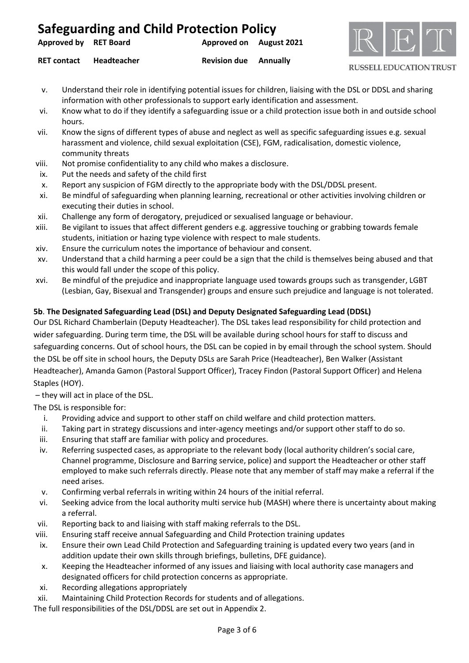| Approved by RET Board |             | Approved on August 2021      |  |  |
|-----------------------|-------------|------------------------------|--|--|
| <b>RET contact</b>    | Headteacher | <b>Revision due</b> Annually |  |  |



**RUSSELL EDUCATION TRUST** 

- v. Understand their role in identifying potential issues for children, liaising with the DSL or DDSL and sharing information with other professionals to support early identification and assessment.
- vi. Know what to do if they identify a safeguarding issue or a child protection issue both in and outside school hours.
- vii. Know the signs of different types of abuse and neglect as well as specific safeguarding issues e.g. sexual harassment and violence, child sexual exploitation (CSE), FGM, radicalisation, domestic violence, community threats
- viii. Not promise confidentiality to any child who makes a disclosure.
- ix. Put the needs and safety of the child first
- x. Report any suspicion of FGM directly to the appropriate body with the DSL/DDSL present.
- xi. Be mindful of safeguarding when planning learning, recreational or other activities involving children or executing their duties in school.
- xii. Challenge any form of derogatory, prejudiced or sexualised language or behaviour.
- xiii. Be vigilant to issues that affect different genders e.g. aggressive touching or grabbing towards female students, initiation or hazing type violence with respect to male students.
- xiv. Ensure the curriculum notes the importance of behaviour and consent.
- xv. Understand that a child harming a peer could be a sign that the child is themselves being abused and that this would fall under the scope of this policy.
- xvi. Be mindful of the prejudice and inappropriate language used towards groups such as transgender, LGBT (Lesbian, Gay, Bisexual and Transgender) groups and ensure such prejudice and language is not tolerated.

## **5b**. **The Designated Safeguarding Lead (DSL) and Deputy Designated Safeguarding Lead (DDSL)**

Our DSL Richard Chamberlain (Deputy Headteacher). The DSL takes lead responsibility for child protection and wider safeguarding. During term time, the DSL will be available during school hours for staff to discuss and safeguarding concerns. Out of school hours, the DSL can be copied in by email through the school system. Should the DSL be off site in school hours, the Deputy DSLs are Sarah Price (Headteacher), Ben Walker (Assistant Headteacher), Amanda Gamon (Pastoral Support Officer), Tracey Findon (Pastoral Support Officer) and Helena Staples (HOY).

– they will act in place of the DSL.

The DSL is responsible for:

- i. Providing advice and support to other staff on child welfare and child protection matters.
- ii. Taking part in strategy discussions and inter-agency meetings and/or support other staff to do so.
- iii. Ensuring that staff are familiar with policy and procedures.
- iv. Referring suspected cases, as appropriate to the relevant body (local authority children's social care, Channel programme, Disclosure and Barring service, police) and support the Headteacher or other staff employed to make such referrals directly. Please note that any member of staff may make a referral if the need arises.
- v. Confirming verbal referrals in writing within 24 hours of the initial referral.
- vi. Seeking advice from the local authority multi service hub (MASH) where there is uncertainty about making a referral.
- vii. Reporting back to and liaising with staff making referrals to the DSL.
- viii. Ensuring staff receive annual Safeguarding and Child Protection training updates
- ix. Ensure their own Lead Child Protection and Safeguarding training is updated every two years (and in addition update their own skills through briefings, bulletins, DFE guidance).
- x. Keeping the Headteacher informed of any issues and liaising with local authority case managers and designated officers for child protection concerns as appropriate.
- xi. Recording allegations appropriately
- xii. Maintaining Child Protection Records for students and of allegations.

The full responsibilities of the DSL/DDSL are set out in Appendix 2.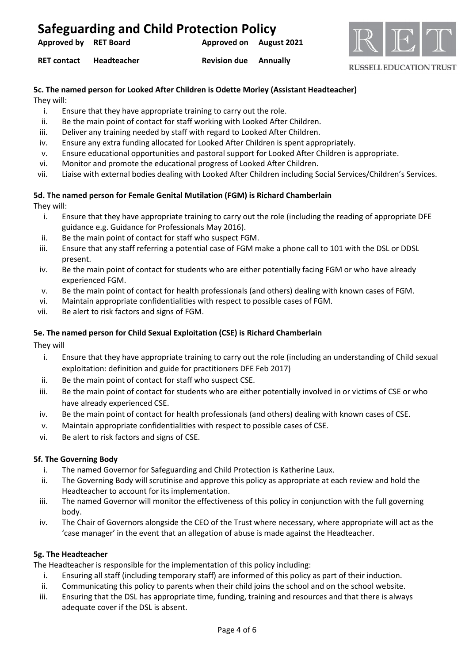| Approved by RET Board |                    | Approved on August 2021      |  |  |
|-----------------------|--------------------|------------------------------|--|--|
| <b>RET contact</b>    | <b>Headteacher</b> | <b>Revision due Annually</b> |  |  |



#### **RUSSELL EDUCATION TRUST**

### **5c. The named person for Looked After Children is Odette Morley (Assistant Headteacher)**

They will:

- i. Ensure that they have appropriate training to carry out the role.
- ii. Be the main point of contact for staff working with Looked After Children.
- iii. Deliver any training needed by staff with regard to Looked After Children.
- iv. Ensure any extra funding allocated for Looked After Children is spent appropriately.
- v. Ensure educational opportunities and pastoral support for Looked After Children is appropriate.
- vi. Monitor and promote the educational progress of Looked After Children.
- vii. Liaise with external bodies dealing with Looked After Children including Social Services/Children's Services.

### **5d. The named person for Female Genital Mutilation (FGM) is Richard Chamberlain**

They will:

- i. Ensure that they have appropriate training to carry out the role (including the reading of appropriate DFE guidance e.g. Guidance for Professionals May 2016).
- ii. Be the main point of contact for staff who suspect FGM.
- iii. Ensure that any staff referring a potential case of FGM make a phone call to 101 with the DSL or DDSL present.
- iv. Be the main point of contact for students who are either potentially facing FGM or who have already experienced FGM.
- v. Be the main point of contact for health professionals (and others) dealing with known cases of FGM.
- vi. Maintain appropriate confidentialities with respect to possible cases of FGM.
- vii. Be alert to risk factors and signs of FGM.

### **5e. The named person for Child Sexual Exploitation (CSE) is Richard Chamberlain**

They will

- i. Ensure that they have appropriate training to carry out the role (including an understanding of Child sexual exploitation: definition and guide for practitioners DFE Feb 2017)
- ii. Be the main point of contact for staff who suspect CSE.
- iii. Be the main point of contact for students who are either potentially involved in or victims of CSE or who have already experienced CSE.
- iv. Be the main point of contact for health professionals (and others) dealing with known cases of CSE.
- v. Maintain appropriate confidentialities with respect to possible cases of CSE.
- vi. Be alert to risk factors and signs of CSE.

### **5f. The Governing Body**

- i. The named Governor for Safeguarding and Child Protection is Katherine Laux.
- ii. The Governing Body will scrutinise and approve this policy as appropriate at each review and hold the Headteacher to account for its implementation.
- iii. The named Governor will monitor the effectiveness of this policy in conjunction with the full governing body.
- iv. The Chair of Governors alongside the CEO of the Trust where necessary, where appropriate will act as the 'case manager' in the event that an allegation of abuse is made against the Headteacher.

### **5g. The Headteacher**

The Headteacher is responsible for the implementation of this policy including:

- i. Ensuring all staff (including temporary staff) are informed of this policy as part of their induction.
- ii. Communicating this policy to parents when their child joins the school and on the school website.
- iii. Ensuring that the DSL has appropriate time, funding, training and resources and that there is always adequate cover if the DSL is absent.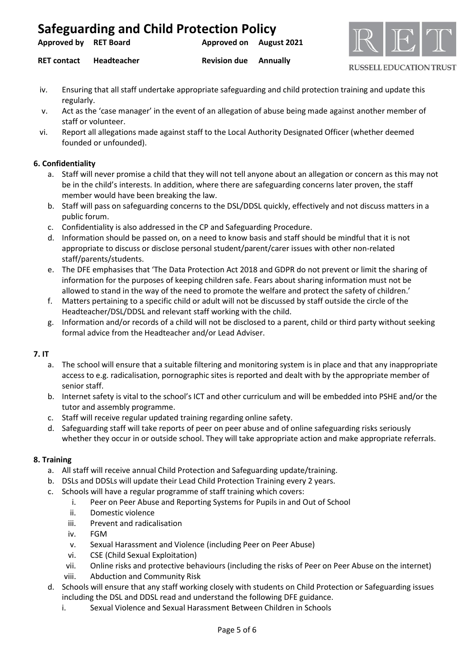| Approved by RET Board | <b>Approved on</b> August 2021 |  |
|-----------------------|--------------------------------|--|
|                       |                                |  |



**RET contact Headteacher Revision due Annually**

**RUSSELL EDUCATION TRUST** 

- iv. Ensuring that all staff undertake appropriate safeguarding and child protection training and update this regularly.
- v. Act as the 'case manager' in the event of an allegation of abuse being made against another member of staff or volunteer.
- vi. Report all allegations made against staff to the Local Authority Designated Officer (whether deemed founded or unfounded).

### **6. Confidentiality**

- a. Staff will never promise a child that they will not tell anyone about an allegation or concern as this may not be in the child's interests. In addition, where there are safeguarding concerns later proven, the staff member would have been breaking the law.
- b. Staff will pass on safeguarding concerns to the DSL/DDSL quickly, effectively and not discuss matters in a public forum.
- c. Confidentiality is also addressed in the CP and Safeguarding Procedure.
- d. Information should be passed on, on a need to know basis and staff should be mindful that it is not appropriate to discuss or disclose personal student/parent/carer issues with other non-related staff/parents/students.
- e. The DFE emphasises that 'The Data Protection Act 2018 and GDPR do not prevent or limit the sharing of information for the purposes of keeping children safe. Fears about sharing information must not be allowed to stand in the way of the need to promote the welfare and protect the safety of children.'
- f. Matters pertaining to a specific child or adult will not be discussed by staff outside the circle of the Headteacher/DSL/DDSL and relevant staff working with the child.
- g. Information and/or records of a child will not be disclosed to a parent, child or third party without seeking formal advice from the Headteacher and/or Lead Adviser.

## **7. IT**

- a. The school will ensure that a suitable filtering and monitoring system is in place and that any inappropriate access to e.g. radicalisation, pornographic sites is reported and dealt with by the appropriate member of senior staff.
- b. Internet safety is vital to the school's ICT and other curriculum and will be embedded into PSHE and/or the tutor and assembly programme.
- c. Staff will receive regular updated training regarding online safety.
- d. Safeguarding staff will take reports of peer on peer abuse and of online safeguarding risks seriously whether they occur in or outside school. They will take appropriate action and make appropriate referrals.

### **8. Training**

- a. All staff will receive annual Child Protection and Safeguarding update/training.
- b. DSLs and DDSLs will update their Lead Child Protection Training every 2 years.
- c. Schools will have a regular programme of staff training which covers:
	- i. Peer on Peer Abuse and Reporting Systems for Pupils in and Out of School
	- ii. Domestic violence
	- iii. Prevent and radicalisation
	- iv. FGM
	- v. Sexual Harassment and Violence (including Peer on Peer Abuse)
	- vi. CSE (Child Sexual Exploitation)
	- vii. Online risks and protective behaviours (including the risks of Peer on Peer Abuse on the internet)
	- viii. Abduction and Community Risk
- d. Schools will ensure that any staff working closely with students on Child Protection or Safeguarding issues including the DSL and DDSL read and understand the following DFE guidance.
	- i. Sexual Violence and Sexual Harassment Between Children in Schools